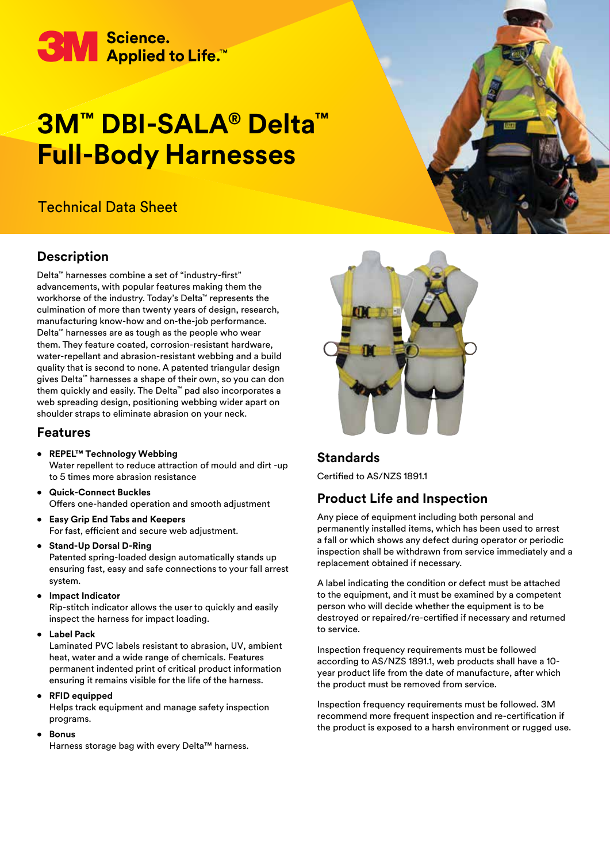

# **3M™ DBI-SALA® Delta™ Full-Body Harnesses**

# Technical Data Sheet

## **Description**

Delta™ harnesses combine a set of "industry-first" advancements, with popular features making them the workhorse of the industry. Today's Delta™ represents the culmination of more than twenty years of design, research, manufacturing know-how and on-the-job performance. Delta™ harnesses are as tough as the people who wear them. They feature coated, corrosion-resistant hardware, water-repellant and abrasion-resistant webbing and a build quality that is second to none. A patented triangular design gives Delta™ harnesses a shape of their own, so you can don them quickly and easily. The Delta™ pad also incorporates a web spreading design, positioning webbing wider apart on shoulder straps to eliminate abrasion on your neck.

#### **Features**

- **• REPEL™ Technology Webbing**  Water repellent to reduce attraction of mould and dirt -up to 5 times more abrasion resistance
- **• Quick-Connect Buckles**  Offers one-handed operation and smooth adjustment
- **• Easy Grip End Tabs and Keepers** For fast, efficient and secure web adjustment.
- **• Stand-Up Dorsal D-Ring** Patented spring-loaded design automatically stands up ensuring fast, easy and safe connections to your fall arrest system.
- **• Impact Indicator**

Rip-stitch indicator allows the user to quickly and easily inspect the harness for impact loading.

**• Label Pack**

Laminated PVC labels resistant to abrasion, UV, ambient heat, water and a wide range of chemicals. Features permanent indented print of critical product information ensuring it remains visible for the life of the harness.

**• RFID equipped**

Helps track equipment and manage safety inspection programs.

**• Bonus**

Harness storage bag with every Delta™ harness.



#### **Standards**

Certified to AS/NZS 1891.1

## **Product Life and Inspection**

Any piece of equipment including both personal and permanently installed items, which has been used to arrest a fall or which shows any defect during operator or periodic inspection shall be withdrawn from service immediately and a replacement obtained if necessary.

A label indicating the condition or defect must be attached to the equipment, and it must be examined by a competent person who will decide whether the equipment is to be destroyed or repaired/re-certified if necessary and returned to service.

Inspection frequency requirements must be followed according to AS/NZS 1891.1, web products shall have a 10 year product life from the date of manufacture, after which the product must be removed from service.

Inspection frequency requirements must be followed. 3M recommend more frequent inspection and re-certification if the product is exposed to a harsh environment or rugged use.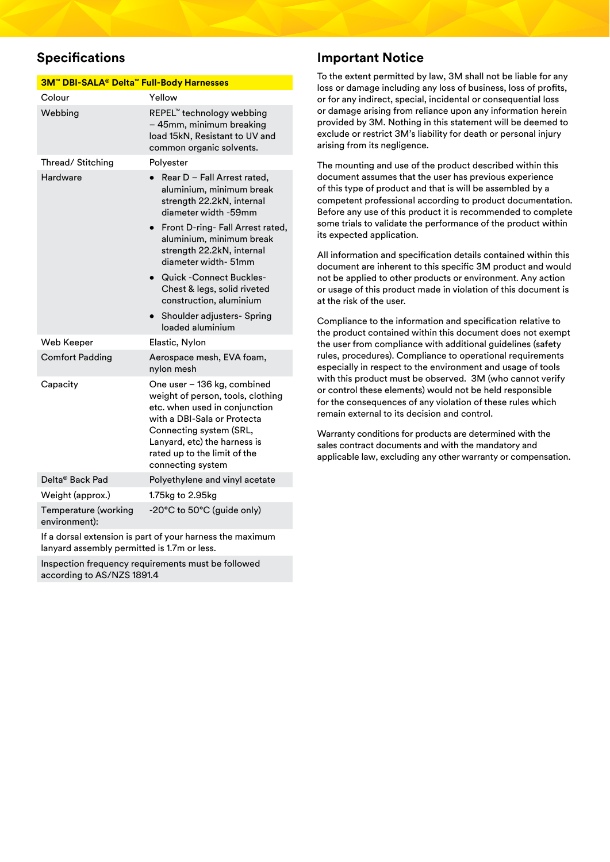## **Specifications**

| 3M <sup>™</sup> DBI-SALA® Delta <sup>™</sup> Full-Body Harnesses |                                                                                                                                                                                                                                                  |  |
|------------------------------------------------------------------|--------------------------------------------------------------------------------------------------------------------------------------------------------------------------------------------------------------------------------------------------|--|
| Colour                                                           | Yellow                                                                                                                                                                                                                                           |  |
| Webbing                                                          | REPEL™ technology webbing<br>– 45mm, minimum breaking<br>load 15kN, Resistant to UV and<br>common organic solvents.                                                                                                                              |  |
| Thread/Stitching                                                 | Polyester                                                                                                                                                                                                                                        |  |
| Hardware                                                         | Rear D - Fall Arrest rated,<br>aluminium, minimum break<br>strength 22.2kN, internal<br>diameter width -59mm                                                                                                                                     |  |
|                                                                  | Front D-ring- Fall Arrest rated,<br>$\bullet$<br>aluminium, minimum break<br>strength 22.2kN, internal<br>diameter width- 51mm                                                                                                                   |  |
|                                                                  | <b>Quick-Connect Buckles-</b><br>Chest & legs, solid riveted<br>construction, aluminium                                                                                                                                                          |  |
|                                                                  | Shoulder adjusters- Spring<br>loaded aluminium                                                                                                                                                                                                   |  |
| Web Keeper                                                       | Elastic, Nylon                                                                                                                                                                                                                                   |  |
| <b>Comfort Padding</b>                                           | Aerospace mesh, EVA foam,<br>nylon mesh                                                                                                                                                                                                          |  |
| Capacity                                                         | One user - 136 kg, combined<br>weight of person, tools, clothing<br>etc. when used in conjunction<br>with a DBI-Sala or Protecta<br>Connecting system (SRL,<br>Lanyard, etc) the harness is<br>rated up to the limit of the<br>connecting system |  |
| Delta® Back Pad                                                  | Polyethylene and vinyl acetate                                                                                                                                                                                                                   |  |
| Weight (approx.)                                                 | 1.75kg to 2.95kg                                                                                                                                                                                                                                 |  |
| Temperature (working<br>environment):                            | -20°C to 50°C (guide only)                                                                                                                                                                                                                       |  |
|                                                                  |                                                                                                                                                                                                                                                  |  |

If a dorsal extension is part of your harness the maximum lanyard assembly permitted is 1.7m or less.

Inspection frequency requirements must be followed according to AS/NZS 1891.4

#### **Important Notice**

To the extent permitted by law, 3M shall not be liable for any loss or damage including any loss of business, loss of profits, or for any indirect, special, incidental or consequential loss or damage arising from reliance upon any information herein provided by 3M. Nothing in this statement will be deemed to exclude or restrict 3M's liability for death or personal injury arising from its negligence.

The mounting and use of the product described within this document assumes that the user has previous experience of this type of product and that is will be assembled by a competent professional according to product documentation. Before any use of this product it is recommended to complete some trials to validate the performance of the product within its expected application.

All information and specification details contained within this document are inherent to this specific 3M product and would not be applied to other products or environment. Any action or usage of this product made in violation of this document is at the risk of the user.

Compliance to the information and specification relative to the product contained within this document does not exempt the user from compliance with additional guidelines (safety rules, procedures). Compliance to operational requirements especially in respect to the environment and usage of tools with this product must be observed. 3M (who cannot verify or control these elements) would not be held responsible for the consequences of any violation of these rules which remain external to its decision and control.

Warranty conditions for products are determined with the sales contract documents and with the mandatory and applicable law, excluding any other warranty or compensation.